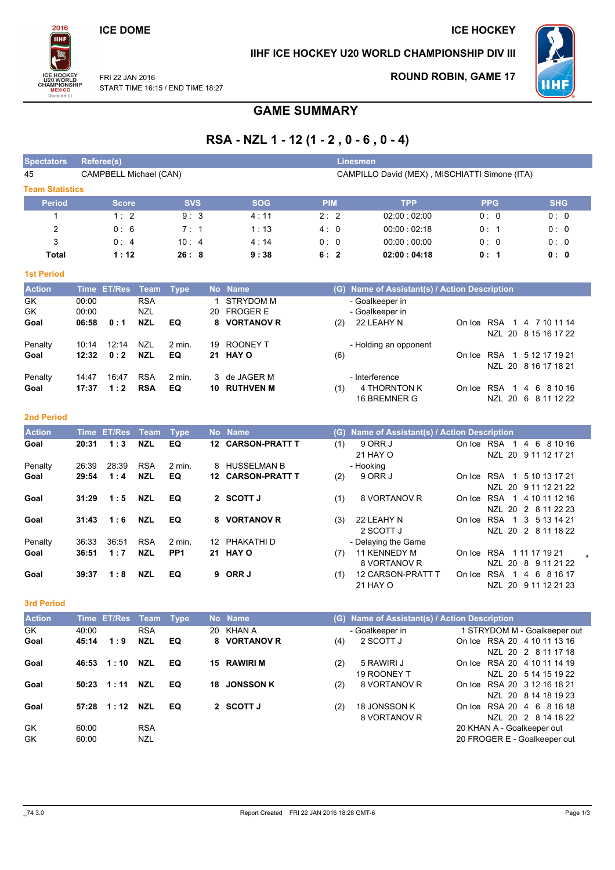### **ICE DOME**

2016

**TIHF** 

**MEXICO**<br>Division II

### IIHF ICE HOCKEY U20 WORLD CHAMPIONSHIP DIV III



FRI 22 JAN 2016 START TIME 16:15 / END TIME 18:27

## **ROUND ROBIN, GAME 17**

**ICE HOCKEY** 

# **GAME SUMMARY**

# RSA - NZL 1 - 12 (1 - 2, 0 - 6, 0 - 4)

| <b>Spectators</b>      | <b>Referee(s)</b>       |                        |                                        |                |              |                                                          |                                               |     | <b>Linesmen</b>                                  |        |                        |                                             |  |  |  |
|------------------------|-------------------------|------------------------|----------------------------------------|----------------|--------------|----------------------------------------------------------|-----------------------------------------------|-----|--------------------------------------------------|--------|------------------------|---------------------------------------------|--|--|--|
| 45                     |                         | CAMPBELL Michael (CAN) |                                        |                |              |                                                          | CAMPILLO David (MEX), MISCHIATTI Simone (ITA) |     |                                                  |        |                        |                                             |  |  |  |
| <b>Team Statistics</b> |                         |                        |                                        |                |              |                                                          |                                               |     |                                                  |        |                        |                                             |  |  |  |
| <b>Period</b>          |                         | <b>Score</b>           |                                        | <b>SVS</b>     |              | <b>SOG</b>                                               | <b>PIM</b>                                    |     | <b>TPP</b>                                       |        | <b>PPG</b>             | <b>SHG</b>                                  |  |  |  |
| 1                      |                         | 1:2                    |                                        | 9:3            |              | 4:11                                                     | 2:2                                           |     | 02:00:02:00                                      |        | 0: 0                   | 0:0                                         |  |  |  |
| $\overline{c}$         |                         | 0:6                    |                                        | 7:1            |              | 1:13                                                     | 4:0                                           |     | 00:00:02:18                                      |        | 0:1                    | 0:0                                         |  |  |  |
| 3                      |                         | 0:4                    |                                        | 10:4           |              | 4:14                                                     | 0:0                                           |     | 00:00:00:00                                      |        | 0:0                    | 0:0                                         |  |  |  |
| <b>Total</b>           |                         | 1:12                   |                                        | 26:8           |              | 9:38                                                     | 6:2                                           |     | 02:00:04:18                                      |        | 0:1                    | 0: 0                                        |  |  |  |
| <b>1st Period</b>      |                         |                        |                                        |                |              |                                                          |                                               |     |                                                  |        |                        |                                             |  |  |  |
| <b>Action</b>          | <b>Time</b>             | <b>ET/Res</b>          | Team                                   | <b>Type</b>    |              | No Name                                                  |                                               | (G) | Name of Assistant(s) / Action Description        |        |                        |                                             |  |  |  |
| GK<br>GK<br>Goal       | 00:00<br>00:00<br>06:58 | 0:1                    | <b>RSA</b><br><b>NZL</b><br><b>NZL</b> | EQ             | 1<br>20<br>8 | <b>STRYDOM M</b><br><b>FROGER E</b><br><b>VORTANOV R</b> |                                               | (2) | - Goalkeeper in<br>- Goalkeeper in<br>22 LEAHY N |        | On Ice RSA 1           | 4 7 10 11 14                                |  |  |  |
| Penalty<br>Goal        | 10:14<br>12:32          | 12:14<br>0:2           | <b>NZL</b><br><b>NZL</b>               | $2$ min.<br>EQ | 19<br>21     | <b>ROONEY T</b><br><b>HAY O</b>                          |                                               | (6) | - Holding an opponent                            | On Ice |                        | NZL 20 8 15 16 17 22<br>RSA 1 5 12 17 19 21 |  |  |  |
|                        |                         |                        |                                        |                |              |                                                          |                                               |     |                                                  |        |                        | NZL 20 8 16 17 18 21                        |  |  |  |
| Penalty<br>Goal        | 14:47<br>17:37          | 16:47<br>1:2           | <b>RSA</b><br><b>RSA</b>               | $2$ min.<br>EQ | 3<br>10      | de JAGER M<br><b>RUTHVEN M</b>                           |                                               | (1) | - Interference<br>4 THORNTON K<br>16 BREMNER G   |        | On Ice RSA 1<br>NZL 20 | 6 8 10 16<br>$\overline{4}$<br>6 8 11 12 22 |  |  |  |
| <b>2nd Period</b>      |                         |                        |                                        |                |              |                                                          |                                               |     |                                                  |        |                        |                                             |  |  |  |

| <b>Action</b> |       | Time ET/Res Team |            | Type              |    | No Name           | (G) | <b>Name of Assistant(s) / Action Description</b> |            |                               |
|---------------|-------|------------------|------------|-------------------|----|-------------------|-----|--------------------------------------------------|------------|-------------------------------|
| Goal          | 20:31 | 1:3              | <b>NZL</b> | EQ                |    | 12 CARSON-PRATT T | (1) | 9 ORR J                                          | On Ice RSA | 4 6 8 10 16<br>$\blacksquare$ |
|               |       |                  |            |                   |    |                   |     | 21 HAY O                                         |            | NZL 20 9 11 12 17 21          |
| Penalty       | 26:39 | 28:39            | <b>RSA</b> | $2 \text{ min}$ . |    | 8 HUSSELMAN B     |     | - Hooking                                        |            |                               |
| Goal          | 29:54 | 1:4              | <b>NZL</b> | EQ                |    | 12 CARSON-PRATT T | (2) | 9 ORR J                                          |            | On Ice RSA 1<br>5 10 13 17 21 |
|               |       |                  |            |                   |    |                   |     |                                                  |            | NZL 20 9 11 12 21 22          |
| Goal          | 31:29 | 1:5              | <b>NZL</b> | EQ                |    | 2 SCOTT J         | (1) | 8 VORTANOV R                                     |            | On Ice RSA 1 4 10 11 12 16    |
|               |       |                  |            |                   |    |                   |     |                                                  |            | NZL 20 2 8 11 22 23           |
| Goal          | 31:43 | 1:6              | <b>NZL</b> | EQ                | 8. | <b>VORTANOV R</b> | (3) | 22 LEAHY N                                       |            | On Ice RSA 1 3 5 13 14 21     |
|               |       |                  |            |                   |    |                   |     | 2 SCOTT J                                        |            | NZL 20 2 8 11 18 22           |
| Penalty       | 36:33 | 36:51            | <b>RSA</b> | $2 \text{ min}$ . |    | 12 PHAKATHI D     |     | - Delaying the Game                              |            |                               |
| Goal          | 36:51 | 1:7              | <b>NZL</b> | PP <sub>1</sub>   |    | 21 HAY O          | (7) | 11 KENNEDY M                                     | On Ice RSA | 1 11 17 19 21                 |
|               |       |                  |            |                   |    |                   |     | 8 VORTANOV R                                     |            | NZL 20 8 9 11 21 22           |
| Goal          | 39:37 | 1:8              | <b>NZL</b> | EQ                | 9  | ORR J             | (1) | <b>12 CARSON-PRATT T</b>                         |            | On Ice RSA 1 4 6 8 16 17      |
|               |       |                  |            |                   |    |                   |     |                                                  |            |                               |

21 HAY O

3rd Period

| <b>Action</b> |       | Time ET/Res Team |            | Type |    | No Name          |     | (G) Name of Assistant(s) / Action Description |                              |
|---------------|-------|------------------|------------|------|----|------------------|-----|-----------------------------------------------|------------------------------|
| <b>GK</b>     | 40:00 |                  | <b>RSA</b> |      | 20 | KHAN A           |     | - Goalkeeper in                               | 1 STRYDOM M - Goalkeeper out |
| Goal          | 45:14 | 1:9              | <b>NZL</b> | EQ   |    | 8 VORTANOV R     | (4) | 2 SCOTT J                                     | On Ice RSA 20 4 10 11 13 16  |
|               |       |                  |            |      |    |                  |     |                                               | NZL 20 2 8 11 17 18          |
| Goal          | 46:53 | 1:10             | <b>NZL</b> | EQ   | 15 | RAWIRI M         | (2) | 5 RAWIRI J                                    | On Ice RSA 20 4 10 11 14 19  |
|               |       |                  |            |      |    |                  |     | 19 ROONEY T                                   | NZL 20 5 14 15 19 22         |
| Goal          | 50:23 | 1:11             | <b>NZL</b> | EQ   | 18 | <b>JONSSON K</b> | (2) | 8 VORTANOV R                                  | On Ice RSA 20 3 12 16 18 21  |
|               |       |                  |            |      |    |                  |     |                                               | NZL 20 8 14 18 19 23         |
| Goal          | 57:28 | 1:12             | <b>NZL</b> | EQ   |    | 2 SCOTT J        | (2) | 18 JONSSON K                                  | On Ice RSA 20 4 6 8 16 18    |
|               |       |                  |            |      |    |                  |     | 8 VORTANOV R                                  | NZL 20 2 8 14 18 22          |
| GK            | 60:00 |                  | <b>RSA</b> |      |    |                  |     |                                               | 20 KHAN A - Goalkeeper out   |
| GK            | 60:00 |                  | <b>NZL</b> |      |    |                  |     |                                               | 20 FROGER E - Goalkeeper out |

NZL 20 9 11 12 21 23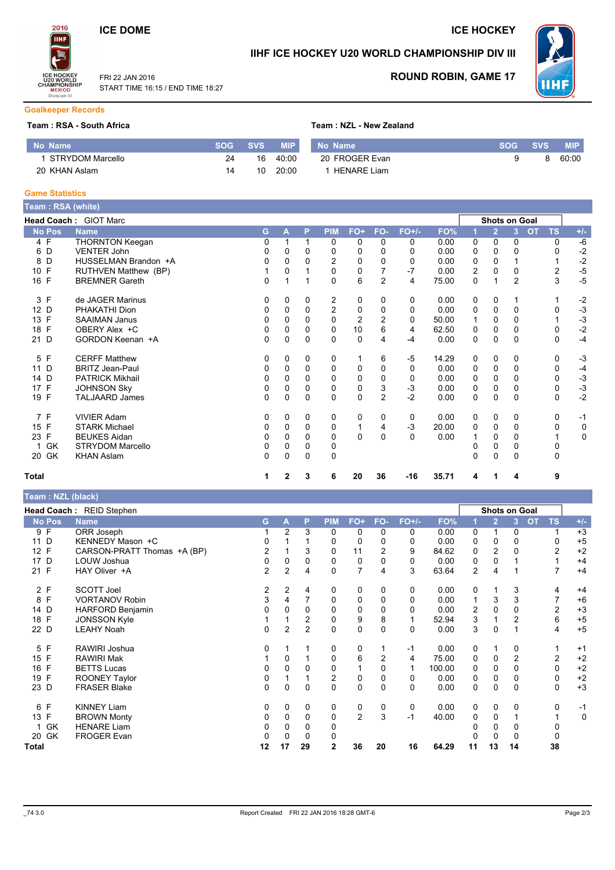### **ICE DOME**

FRI 22 JAN 2016

START TIME 16:15 / END TIME 18:27

 $14$ 

10 20:00

**ICE HOCKEY** 



### IIHF ICE HOCKEY U20 WORLD CHAMPIONSHIP DIV III



**ROUND ROBIN, GAME 17** 

#### **Goalkeeper Records**

20 KHAN Aslam

#### Team: RSA - South Africa

| am:RSA - South Africa |            |            |            | Team: NZL - New Zealand |                |            |
|-----------------------|------------|------------|------------|-------------------------|----------------|------------|
| o Name                | <b>SOG</b> | <b>SVS</b> | <b>MIP</b> | No Name                 | <b>SOG SVS</b> | <b>MIP</b> |
| 1 STRYDOM Marcello    | 24         | 16         | 40:00      | 20 FROGER Evan          |                | 60:00      |

1 HENARE Liam

#### **Game Statistics**

No Name

| Team : RSA (white) |                         |    |          |          |                |                |                |          |       |   |                      |                |           |           |              |
|--------------------|-------------------------|----|----------|----------|----------------|----------------|----------------|----------|-------|---|----------------------|----------------|-----------|-----------|--------------|
|                    | Head Coach: GIOT Marc   |    |          |          |                |                |                |          |       |   | <b>Shots on Goal</b> |                |           |           |              |
| <b>No Pos</b>      | <b>Name</b>             | G. | A        | P        | <b>PIM</b>     | $FO+$          | FO-            | $FO+/-$  | FO%   |   | $\overline{2}$       | 3 <sup>1</sup> | <b>OT</b> | <b>TS</b> | $+/-$        |
| 4 F                | <b>THORNTON Keegan</b>  | 0  |          |          | 0              | 0              | 0              | 0        | 0.00  | 0 | 0                    | 0              |           | 0         | $-6$         |
| 6 D                | <b>VENTER John</b>      | 0  | 0        | 0        | 0              | 0              | 0              | 0        | 0.00  | 0 | 0                    |                |           | $\Omega$  | $-2$         |
| D<br>8             | HUSSELMAN Brandon +A    | 0  | 0        |          | $\overline{2}$ | 0              | 0              | 0        | 0.00  | 0 | $\Omega$             |                |           |           | $-2$         |
| F<br>10            | RUTHVEN Matthew (BP)    |    | 0        |          | $\Omega$       | $\mathbf 0$    |                | $-7$     | 0.00  | 2 | $\Omega$             | 0              |           | 2         | $-5$<br>$-5$ |
| 16 F               | <b>BREMNER Gareth</b>   | 0  |          |          | $\Omega$       | 6              | $\overline{c}$ | 4        | 75.00 | 0 |                      | $\overline{c}$ |           | 3         |              |
| 3 F                | de JAGER Marinus        | 0  | 0        | 0        | 2              | 0              | 0              | 0        | 0.00  | 0 | 0                    |                |           |           | $-2$<br>$-3$ |
| 12 D               | PHAKATHI Dion           | 0  | 0        | $\Omega$ | $\overline{2}$ | 0              | 0              | 0        | 0.00  | 0 | 0                    | 0              |           | 0         |              |
| 13 F               | <b>SAAIMAN Janus</b>    | 0  | 0        | 0        | $\mathbf 0$    | $\overline{2}$ | 2              | 0        | 50.00 |   | $\Omega$             | 0              |           |           | $-3$         |
| F<br>18            | OBERY Alex +C           | 0  | 0        | $\Omega$ | $\Omega$       | 10             | 6              | 4        | 62.50 | 0 | $\Omega$             | 0              |           | $\Omega$  | $-2$         |
| 21 D               | GORDON Keenan +A        | 0  | 0        | 0        | $\Omega$       | $\mathbf 0$    | 4              | -4       | 0.00  | 0 | $\Omega$             | 0              |           | $\Omega$  | $-4$         |
| 5 F                | <b>CERFF Matthew</b>    | 0  | 0        | 0        | 0              | 1              | 6              | $-5$     | 14.29 | 0 | 0                    | 0              |           | 0         | $-3$         |
| 11 D               | <b>BRITZ Jean-Paul</b>  | 0  | 0        | 0        | 0              | 0              | 0              | 0        | 0.00  | 0 | 0                    | 0              |           | 0         | $-4$         |
| 14 D               | <b>PATRICK Mikhail</b>  | 0  | 0        | $\Omega$ | 0              | 0              | $\Omega$       | 0        | 0.00  | 0 | $\Omega$             | 0              |           | 0         | $-3$         |
| F<br>17            | <b>JOHNSON Sky</b>      | 0  | 0        | 0        | $\Omega$       | 0              | 3              | $-3$     | 0.00  | 0 | $\Omega$             | 0              |           | $\Omega$  | $-3$         |
| 19 F               | <b>TALJAARD James</b>   | 0  | 0        | 0        | $\Omega$       | $\mathbf 0$    | $\overline{c}$ | $-2$     | 0.00  | 0 | $\Omega$             | 0              |           | $\Omega$  | $-2$         |
| 7 F                | <b>VIVIER Adam</b>      | 0  | 0        | 0        | 0              | $\mathbf 0$    | 0              | 0        | 0.00  | 0 | 0                    | 0              |           | 0         | $-1$         |
| 15 F               | <b>STARK Michael</b>    | 0  | 0        | 0        | 0              | 1              | 4              | $-3$     | 20.00 | 0 | $\Omega$             | 0              |           | 0         | 0            |
| 23 F               | <b>BEUKES Aidan</b>     | 0  | 0        | $\Omega$ | $\Omega$       | 0              | $\Omega$       | $\Omega$ | 0.00  |   | $\Omega$             | 0              |           |           | $\mathsf 0$  |
| GK                 | <b>STRYDOM Marcello</b> | 0  | 0        | 0        | 0              |                |                |          |       |   | $\Omega$             | 0              |           | 0         |              |
| 20 GK              | <b>KHAN Aslam</b>       | 0  | $\Omega$ | $\Omega$ | $\Omega$       |                |                |          |       | 0 | $\Omega$             | 0              |           | 0         |              |
| Total              |                         | 1  | 2        | 3        | 6              | 20             | 36             | $-16$    | 35.71 | 4 | 1                    | 4              |           | 9         |              |

#### Team: NZL (black)

|                      | Head Coach: REID Stephen    |                |                |                |             |                |                |         |        |                |                | <b>Shots on Goal</b> |                 |             |
|----------------------|-----------------------------|----------------|----------------|----------------|-------------|----------------|----------------|---------|--------|----------------|----------------|----------------------|-----------------|-------------|
| <b>No Pos</b>        | <b>Name</b>                 | G              | A              | P              | <b>PIM</b>  | FO+            | FO-            | $FO+/-$ | FO%    |                | $\overline{2}$ | 3                    | <b>TS</b><br>OT | $+/-$       |
| 9 F                  | ORR Joseph                  |                | 2              | 3              | 0           | 0              | 0              | 0       | 0.00   | 0              |                | 0                    | 1               | $+3$        |
| 11 D                 | KENNEDY Mason +C            | 0              |                |                | 0           | 0              | 0              | 0       | 0.00   | 0              | 0              | 0                    | 0               | $+5$        |
| F<br>12 <sup>°</sup> | CARSON-PRATT Thomas +A (BP) | 2              |                | 3              | 0           | 11             | $\overline{c}$ | 9       | 84.62  | 0              | $\overline{2}$ |                      | $\overline{2}$  | $+2$        |
| 17 D                 | LOUW Joshua                 | 0              | 0              | 0              | 0           | 0              | 0              | 0       | 0.00   | 0              | 0              |                      |                 | $+4$        |
| 21 F                 | HAY Oliver +A               | $\overline{c}$ | $\overline{2}$ | 4              | 0           | $\overline{7}$ | 4              | 3       | 63.64  | 2              | 4              |                      |                 | $+4$        |
| 2 F                  | <b>SCOTT Joel</b>           | 2              | 2              | 4              | 0           | 0              | 0              | 0       | 0.00   | 0              |                | 3                    | 4               | $+4$        |
| F<br>8               | <b>VORTANOV Robin</b>       | 3              | 4              |                | $\mathbf 0$ | $\mathbf 0$    | 0              | 0       | 0.00   |                | 3              | 3                    |                 | $+6$        |
| 14 D                 | HARFORD Benjamin            | 0              | 0              | $\Omega$       | $\mathbf 0$ | $\mathbf 0$    | $\Omega$       | 0       | 0.00   | $\overline{2}$ | 0              | 0                    | $\overline{2}$  | $+3$        |
| 18 F                 | <b>JONSSON Kyle</b>         |                |                | 2              | 0           | 9              | 8              |         | 52.94  | 3              |                | 2                    | 6               | $+5$        |
| 22 D                 | <b>LEAHY Noah</b>           | 0              | $\overline{2}$ | $\overline{2}$ | $\mathbf 0$ | $\mathbf 0$    | 0              | 0       | 0.00   | 3              | 0              |                      | 4               | $+5$        |
| F<br>5               | RAWIRI Joshua               | 0              |                |                | 0           | 0              |                | $-1$    | 0.00   | 0              |                | 0                    | 1               | $+1$        |
| 15 F                 | <b>RAWIRI Mak</b>           |                | 0              |                | 0           | 6              | $\overline{c}$ | 4       | 75.00  | 0              | 0              | $\overline{2}$       | $\overline{c}$  | $+2$        |
| F<br>16              | <b>BETTS Lucas</b>          | 0              | 0              | $\mathbf{0}$   | 0           |                |                | 1       | 100.00 | 0              | 0              | 0                    | 0               | $+2$        |
| F<br>19              | <b>ROONEY Taylor</b>        | 0              |                |                | 2           | $\mathbf 0$    | 0              | 0       | 0.00   | 0              | 0              | 0                    | 0               | $+2$        |
| 23 D                 | <b>FRASER Blake</b>         | 0              | 0              | $\Omega$       | $\mathbf 0$ | $\mathbf 0$    | $\Omega$       | 0       | 0.00   | 0              | 0              | $\Omega$             | 0               | $+3$        |
| 6 F                  | <b>KINNEY Liam</b>          | 0              | 0              | 0              | 0           | 0              | 0              | 0       | 0.00   | 0              | 0              | 0                    | 0               | $-1$        |
| 13 F                 | <b>BROWN Monty</b>          | 0              | 0              | $\Omega$       | 0           | $\overline{2}$ | 3              | $-1$    | 40.00  | 0              | 0              |                      |                 | $\mathbf 0$ |
| 1 GK                 | <b>HENARE Liam</b>          | 0              | 0              | 0              | 0           |                |                |         |        | 0              | 0              | 0                    | 0               |             |
| 20 GK                | <b>FROGER Evan</b>          | 0              | 0              | 0              | 0           |                |                |         |        |                | 0              |                      | 0               |             |
| Total                |                             | 12             | 17             | 29             | 2           | 36             | 20             | 16      | 64.29  | 11             | 13             | 14                   | 38              |             |